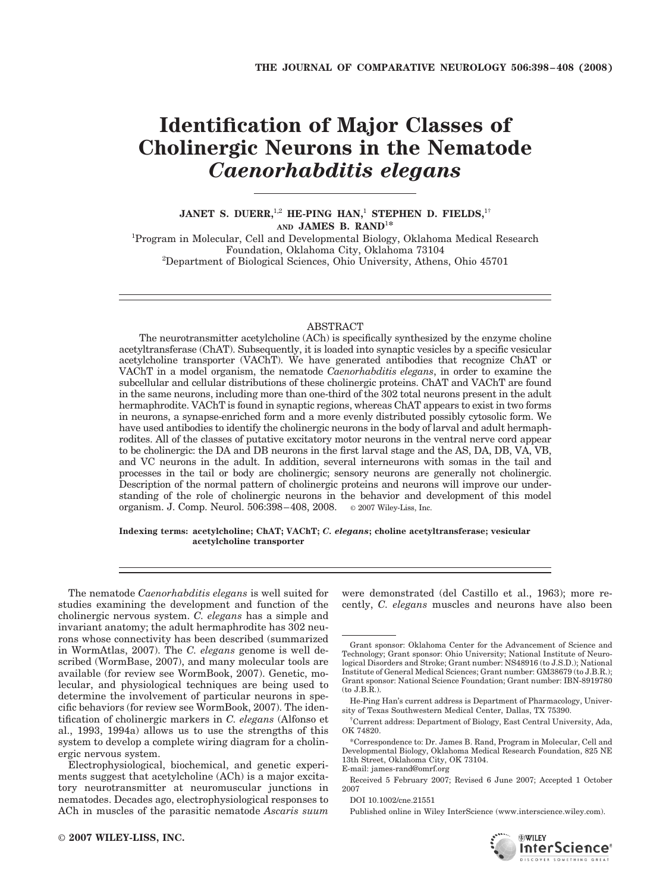# **Identification of Major Classes of Cholinergic Neurons in the Nematode** *Caenorhabditis elegans*

## **JANET S. DUERR,**1,2 **HE-PING HAN,**<sup>1</sup> **STEPHEN D. FIELDS,**1† **AND JAMES B. RAND**<sup>1</sup>**\***

<sup>1</sup>Program in Molecular, Cell and Developmental Biology, Oklahoma Medical Research Foundation, Oklahoma City, Oklahoma 73104 <sup>2</sup>  ${}^{2}$ Department of Biological Sciences, Ohio University, Athens, Ohio 45701

#### ABSTRACT

The neurotransmitter acetylcholine (ACh) is specifically synthesized by the enzyme choline acetyltransferase (ChAT). Subsequently, it is loaded into synaptic vesicles by a specific vesicular acetylcholine transporter (VAChT). We have generated antibodies that recognize ChAT or VAChT in a model organism, the nematode *Caenorhabditis elegans*, in order to examine the subcellular and cellular distributions of these cholinergic proteins. ChAT and VAChT are found in the same neurons, including more than one-third of the 302 total neurons present in the adult hermaphrodite. VAChT is found in synaptic regions, whereas ChAT appears to exist in two forms in neurons, a synapse-enriched form and a more evenly distributed possibly cytosolic form. We have used antibodies to identify the cholinergic neurons in the body of larval and adult hermaphrodites. All of the classes of putative excitatory motor neurons in the ventral nerve cord appear to be cholinergic: the DA and DB neurons in the first larval stage and the AS, DA, DB, VA, VB, and VC neurons in the adult. In addition, several interneurons with somas in the tail and processes in the tail or body are cholinergic; sensory neurons are generally not cholinergic. Description of the normal pattern of cholinergic proteins and neurons will improve our understanding of the role of cholinergic neurons in the behavior and development of this model organism. J. Comp. Neurol. 506:398–408, 2008. © 2007 Wiley-Liss, Inc.

#### **Indexing terms: acetylcholine; ChAT; VAChT;** *C. elegans***; choline acetyltransferase; vesicular acetylcholine transporter**

The nematode *Caenorhabditis elegans* is well suited for studies examining the development and function of the cholinergic nervous system. *C. elegans* has a simple and invariant anatomy; the adult hermaphrodite has 302 neurons whose connectivity has been described (summarized in WormAtlas, 2007). The *C. elegans* genome is well described (WormBase, 2007), and many molecular tools are available (for review see WormBook, 2007). Genetic, molecular, and physiological techniques are being used to determine the involvement of particular neurons in specific behaviors (for review see WormBook, 2007). The identification of cholinergic markers in *C. elegans* (Alfonso et al., 1993, 1994a) allows us to use the strengths of this system to develop a complete wiring diagram for a cholinergic nervous system.

Electrophysiological, biochemical, and genetic experiments suggest that acetylcholine (ACh) is a major excitatory neurotransmitter at neuromuscular junctions in nematodes. Decades ago, electrophysiological responses to ACh in muscles of the parasitic nematode *Ascaris suum*

were demonstrated (del Castillo et al., 1963); more recently, *C. elegans* muscles and neurons have also been

Published online in Wiley InterScience (www.interscience.wiley.com).



Grant sponsor: Oklahoma Center for the Advancement of Science and Technology; Grant sponsor: Ohio University; National Institute of Neurological Disorders and Stroke; Grant number: NS48916 (to J.S.D.); National Institute of General Medical Sciences; Grant number: GM38679 (to J.B.R.); Grant sponsor: National Science Foundation; Grant number: IBN-8919780 (to J.B.R.).

He-Ping Han's current address is Department of Pharmacology, University of Texas Southwestern Medical Center, Dallas, TX 75390.

<sup>†</sup> Current address: Department of Biology, East Central University, Ada, OK 74820.

<sup>\*</sup>Correspondence to: Dr. James B. Rand, Program in Molecular, Cell and Developmental Biology, Oklahoma Medical Research Foundation, 825 NE 13th Street, Oklahoma City, OK 73104. E-mail: james-rand@omrf.org

Received 5 February 2007; Revised 6 June 2007; Accepted 1 October 2007

DOI 10.1002/cne.21551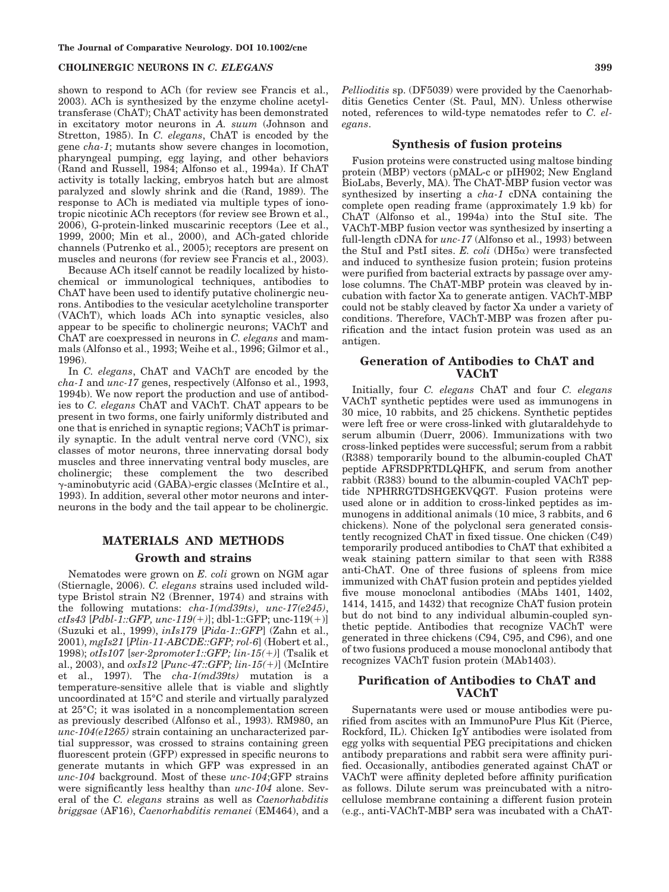shown to respond to ACh (for review see Francis et al., 2003). ACh is synthesized by the enzyme choline acetyltransferase (ChAT); ChAT activity has been demonstrated in excitatory motor neurons in *A. suum* (Johnson and Stretton, 1985). In *C. elegans*, ChAT is encoded by the gene *cha-1*; mutants show severe changes in locomotion, pharyngeal pumping, egg laying, and other behaviors (Rand and Russell, 1984; Alfonso et al., 1994a). If ChAT activity is totally lacking, embryos hatch but are almost paralyzed and slowly shrink and die (Rand, 1989). The response to ACh is mediated via multiple types of ionotropic nicotinic ACh receptors (for review see Brown et al., 2006), G-protein-linked muscarinic receptors (Lee et al., 1999, 2000; Min et al., 2000), and ACh-gated chloride channels (Putrenko et al., 2005); receptors are present on muscles and neurons (for review see Francis et al., 2003).

Because ACh itself cannot be readily localized by histochemical or immunological techniques, antibodies to ChAT have been used to identify putative cholinergic neurons. Antibodies to the vesicular acetylcholine transporter (VAChT), which loads ACh into synaptic vesicles, also appear to be specific to cholinergic neurons; VAChT and ChAT are coexpressed in neurons in *C. elegans* and mammals (Alfonso et al., 1993; Weihe et al., 1996; Gilmor et al., 1996).

In *C. elegans*, ChAT and VAChT are encoded by the *cha-1* and *unc-17* genes, respectively (Alfonso et al., 1993, 1994b). We now report the production and use of antibodies to *C. elegans* ChAT and VAChT. ChAT appears to be present in two forms, one fairly uniformly distributed and one that is enriched in synaptic regions; VAChT is primarily synaptic. In the adult ventral nerve cord (VNC), six classes of motor neurons, three innervating dorsal body muscles and three innervating ventral body muscles, are cholinergic; these complement the two described -aminobutyric acid (GABA)-ergic classes (McIntire et al., 1993). In addition, several other motor neurons and interneurons in the body and the tail appear to be cholinergic.

## **MATERIALS AND METHODS Growth and strains**

Nematodes were grown on *E. coli* grown on NGM agar (Stiernagle, 2006). *C. elegans* strains used included wildtype Bristol strain N2 (Brenner, 1974) and strains with the following mutations: *cha-1(md39ts)*, *unc-17(e245)*, *ctIs43* [*Pdbl-1::GFP, unc-119(*-*)*]; dbl-1::GFP; unc-119(-)] (Suzuki et al., 1999), *inIs179* [*Pida-1::GFP*] (Zahn et al., 2001), *mgIs21* [*Plin-11-ABCDE::GFP; rol-6*] (Hobert et al., 1998); *otIs107* [*ser-2promoter1::GFP; lin-15(*-*)*] (Tsalik et al., 2003), and *oxIs12* [*Punc-47::GFP; lin-15(*-*)*] (McIntire et al., 1997). The *cha-1(md39ts)* mutation is a temperature-sensitive allele that is viable and slightly uncoordinated at 15°C and sterile and virtually paralyzed at 25°C; it was isolated in a noncomplementation screen as previously described (Alfonso et al., 1993). RM980, an *unc-104(e1265)* strain containing an uncharacterized partial suppressor, was crossed to strains containing green fluorescent protein (GFP) expressed in specific neurons to generate mutants in which GFP was expressed in an *unc-104* background. Most of these *unc-104*;GFP strains were significantly less healthy than *unc-104* alone. Several of the *C. elegans* strains as well as *Caenorhabditis briggsae* (AF16), *Caenorhabditis remanei* (EM464), and a

*Pellioditis* sp. (DF5039) were provided by the Caenorhabditis Genetics Center (St. Paul, MN). Unless otherwise noted, references to wild-type nematodes refer to *C. elegans*.

#### **Synthesis of fusion proteins**

Fusion proteins were constructed using maltose binding protein (MBP) vectors (pMAL-c or pIH902; New England BioLabs, Beverly, MA). The ChAT-MBP fusion vector was synthesized by inserting a *cha-1* cDNA containing the complete open reading frame (approximately 1.9 kb) for ChAT (Alfonso et al., 1994a) into the StuI site. The VAChT-MBP fusion vector was synthesized by inserting a full-length cDNA for *unc-17* (Alfonso et al., 1993) between the StuI and PstI sites.  $E.$   $coll$  (DH5 $\alpha$ ) were transfected and induced to synthesize fusion protein; fusion proteins were purified from bacterial extracts by passage over amylose columns. The ChAT-MBP protein was cleaved by incubation with factor Xa to generate antigen. VAChT-MBP could not be stably cleaved by factor Xa under a variety of conditions. Therefore, VAChT-MBP was frozen after purification and the intact fusion protein was used as an antigen.

## **Generation of Antibodies to ChAT and VAChT**

Initially, four *C. elegans* ChAT and four *C. elegans* VAChT synthetic peptides were used as immunogens in 30 mice, 10 rabbits, and 25 chickens. Synthetic peptides were left free or were cross-linked with glutaraldehyde to serum albumin (Duerr, 2006). Immunizations with two cross-linked peptides were successful; serum from a rabbit (R388) temporarily bound to the albumin-coupled ChAT peptide AFRSDPRTDLQHFK, and serum from another rabbit (R383) bound to the albumin-coupled VAChT peptide NPHRRGTDSHGEKVQGT. Fusion proteins were used alone or in addition to cross-linked peptides as immunogens in additional animals (10 mice, 3 rabbits, and 6 chickens). None of the polyclonal sera generated consistently recognized ChAT in fixed tissue. One chicken (C49) temporarily produced antibodies to ChAT that exhibited a weak staining pattern similar to that seen with R388 anti-ChAT. One of three fusions of spleens from mice immunized with ChAT fusion protein and peptides yielded five mouse monoclonal antibodies (MAbs 1401, 1402, 1414, 1415, and 1432) that recognize ChAT fusion protein but do not bind to any individual albumin-coupled synthetic peptide. Antibodies that recognize VAChT were generated in three chickens (C94, C95, and C96), and one of two fusions produced a mouse monoclonal antibody that recognizes VAChT fusion protein (MAb1403).

## **Purification of Antibodies to ChAT and VAChT**

Supernatants were used or mouse antibodies were purified from ascites with an ImmunoPure Plus Kit (Pierce, Rockford, IL). Chicken IgY antibodies were isolated from egg yolks with sequential PEG precipitations and chicken antibody preparations and rabbit sera were affinity purified. Occasionally, antibodies generated against ChAT or VAChT were affinity depleted before affinity purification as follows. Dilute serum was preincubated with a nitrocellulose membrane containing a different fusion protein (e.g., anti-VAChT-MBP sera was incubated with a ChAT-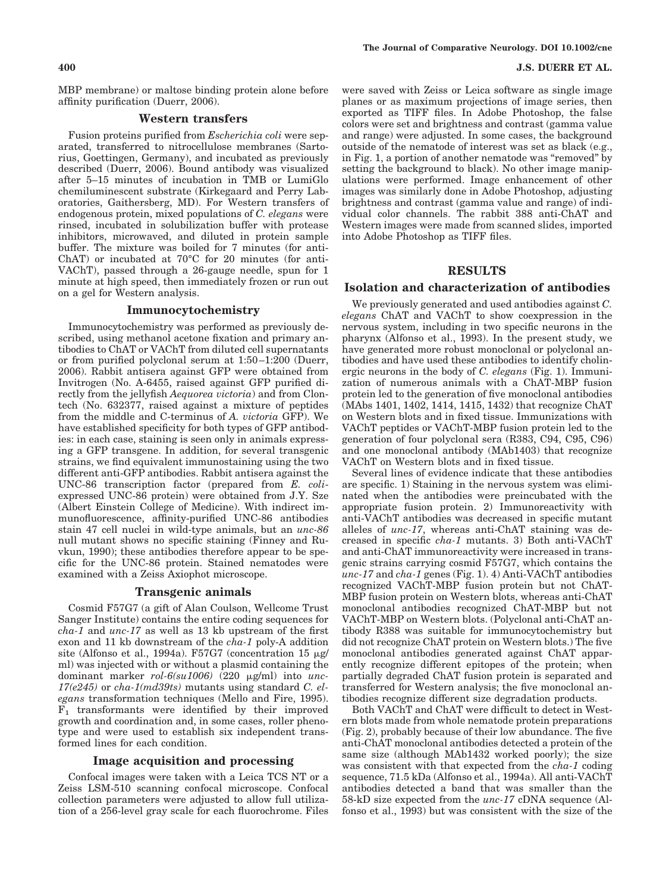#### **400 J.S. DUERR ET AL.**

MBP membrane) or maltose binding protein alone before affinity purification (Duerr, 2006).

## **Western transfers**

Fusion proteins purified from *Escherichia coli* were separated, transferred to nitrocellulose membranes (Sartorius, Goettingen, Germany), and incubated as previously described (Duerr, 2006). Bound antibody was visualized after 5–15 minutes of incubation in TMB or LumiGlo chemiluminescent substrate (Kirkegaard and Perry Laboratories, Gaithersberg, MD). For Western transfers of endogenous protein, mixed populations of *C. elegans* were rinsed, incubated in solubilization buffer with protease inhibitors, microwaved, and diluted in protein sample buffer. The mixture was boiled for 7 minutes (for anti-ChAT) or incubated at 70°C for 20 minutes (for anti-VAChT), passed through a 26-gauge needle, spun for 1 minute at high speed, then immediately frozen or run out on a gel for Western analysis.

## **Immunocytochemistry**

Immunocytochemistry was performed as previously described, using methanol acetone fixation and primary antibodies to ChAT or VAChT from diluted cell supernatants or from purified polyclonal serum at 1:50 –1:200 (Duerr, 2006). Rabbit antisera against GFP were obtained from Invitrogen (No. A-6455, raised against GFP purified directly from the jellyfish *Aequorea victoria*) and from Clontech (No. 632377, raised against a mixture of peptides from the middle and C-terminus of *A. victoria* GFP). We have established specificity for both types of GFP antibodies: in each case, staining is seen only in animals expressing a GFP transgene. In addition, for several transgenic strains, we find equivalent immunostaining using the two different anti-GFP antibodies. Rabbit antisera against the UNC-86 transcription factor (prepared from *E. coli*expressed UNC-86 protein) were obtained from J.Y. Sze (Albert Einstein College of Medicine). With indirect immunofluorescence, affinity-purified UNC-86 antibodies stain 47 cell nuclei in wild-type animals, but an *unc-86* null mutant shows no specific staining (Finney and Ruvkun, 1990); these antibodies therefore appear to be specific for the UNC-86 protein. Stained nematodes were examined with a Zeiss Axiophot microscope.

#### **Transgenic animals**

Cosmid F57G7 (a gift of Alan Coulson, Wellcome Trust Sanger Institute) contains the entire coding sequences for *cha-1* and *unc-17* as well as 13 kb upstream of the first exon and 11 kb downstream of the *cha-1* poly-A addition site (Alfonso et al., 1994a). F57G7 (concentration 15  $\mu$ g/ ml) was injected with or without a plasmid containing the dominant marker *rol-6(su1006)* (220 µg/ml) into *unc*-*17(e245)* or *cha-1(md39ts)* mutants using standard *C. elegans* transformation techniques (Mello and Fire, 1995).  $F_1$  transformants were identified by their improved growth and coordination and, in some cases, roller phenotype and were used to establish six independent transformed lines for each condition.

#### **Image acquisition and processing**

Confocal images were taken with a Leica TCS NT or a Zeiss LSM-510 scanning confocal microscope. Confocal collection parameters were adjusted to allow full utilization of a 256-level gray scale for each fluorochrome. Files were saved with Zeiss or Leica software as single image planes or as maximum projections of image series, then exported as TIFF files. In Adobe Photoshop, the false colors were set and brightness and contrast (gamma value and range) were adjusted. In some cases, the background outside of the nematode of interest was set as black (e.g., in Fig. 1, a portion of another nematode was "removed" by setting the background to black). No other image manipulations were performed. Image enhancement of other images was similarly done in Adobe Photoshop, adjusting brightness and contrast (gamma value and range) of individual color channels. The rabbit 388 anti-ChAT and Western images were made from scanned slides, imported into Adobe Photoshop as TIFF files.

#### **RESULTS**

#### **Isolation and characterization of antibodies**

We previously generated and used antibodies against *C. elegans* ChAT and VAChT to show coexpression in the nervous system, including in two specific neurons in the pharynx (Alfonso et al., 1993). In the present study, we have generated more robust monoclonal or polyclonal antibodies and have used these antibodies to identify cholinergic neurons in the body of *C. elegans* (Fig. 1). Immunization of numerous animals with a ChAT-MBP fusion protein led to the generation of five monoclonal antibodies (MAbs 1401, 1402, 1414, 1415, 1432) that recognize ChAT on Western blots and in fixed tissue. Immunizations with VAChT peptides or VAChT-MBP fusion protein led to the generation of four polyclonal sera (R383, C94, C95, C96) and one monoclonal antibody (MAb1403) that recognize VAChT on Western blots and in fixed tissue.

Several lines of evidence indicate that these antibodies are specific. 1) Staining in the nervous system was eliminated when the antibodies were preincubated with the appropriate fusion protein. 2) Immunoreactivity with anti-VAChT antibodies was decreased in specific mutant alleles of *unc-17*, whereas anti-ChAT staining was decreased in specific *cha-1* mutants. 3) Both anti-VAChT and anti-ChAT immunoreactivity were increased in transgenic strains carrying cosmid F57G7, which contains the *unc-17* and *cha-1* genes (Fig. 1). 4) Anti-VAChT antibodies recognized VAChT-MBP fusion protein but not ChAT-MBP fusion protein on Western blots, whereas anti-ChAT monoclonal antibodies recognized ChAT-MBP but not VAChT-MBP on Western blots. (Polyclonal anti-ChAT antibody R388 was suitable for immunocytochemistry but did not recognize ChAT protein on Western blots.) The five monoclonal antibodies generated against ChAT apparently recognize different epitopes of the protein; when partially degraded ChAT fusion protein is separated and transferred for Western analysis; the five monoclonal antibodies recognize different size degradation products.

Both VAChT and ChAT were difficult to detect in Western blots made from whole nematode protein preparations (Fig. 2), probably because of their low abundance. The five anti-ChAT monoclonal antibodies detected a protein of the same size (although MAb1432 worked poorly); the size was consistent with that expected from the *cha-1* coding sequence, 71.5 kDa (Alfonso et al., 1994a). All anti-VAChT antibodies detected a band that was smaller than the 58-kD size expected from the *unc-17* cDNA sequence (Alfonso et al., 1993) but was consistent with the size of the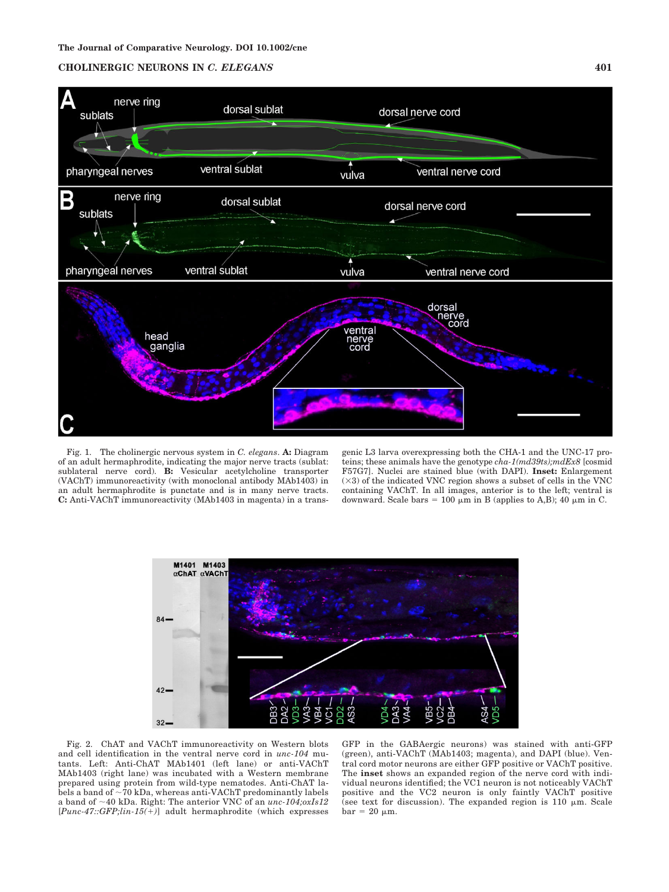

Fig. 1. The cholinergic nervous system in *C. elegans*. **A:** Diagram of an adult hermaphrodite, indicating the major nerve tracts (sublat: sublateral nerve cord). **B:** Vesicular acetylcholine transporter (VAChT) immunoreactivity (with monoclonal antibody MAb1403) in an adult hermaphrodite is punctate and is in many nerve tracts. **C:** Anti-VAChT immunoreactivity (MAb1403 in magenta) in a transgenic L3 larva overexpressing both the CHA-1 and the UNC-17 proteins; these animals have the genotype *cha-1(md39ts);mdEx8* [cosmid F57G7]. Nuclei are stained blue (with DAPI). **Inset:** Enlargement  $(\times 3)$  of the indicated VNC region shows a subset of cells in the VNC containing VAChT. In all images, anterior is to the left; ventral is downward. Scale bars = 100  $\mu$ m in B (applies to A,B); 40  $\mu$ m in C.



Fig. 2. ChAT and VAChT immunoreactivity on Western blots and cell identification in the ventral nerve cord in *unc-104* mutants. Left: Anti-ChAT MAb1401 (left lane) or anti-VAChT MAb1403 (right lane) was incubated with a Western membrane prepared using protein from wild-type nematodes. Anti-ChAT labels a band of  $\sim$  70 kDa, whereas anti-VAChT predominantly labels a band of 40 kDa. Right: The anterior VNC of an *unc-104;oxIs12* [*Punc-47::GFP;lin-15(*-*)*] adult hermaphrodite (which expresses

GFP in the GABAergic neurons) was stained with anti-GFP (green), anti-VAChT (MAb1403; magenta), and DAPI (blue). Ventral cord motor neurons are either GFP positive or VAChT positive. The **inset** shows an expanded region of the nerve cord with individual neurons identified; the VC1 neuron is not noticeably VAChT positive and the VC2 neuron is only faintly VAChT positive (see text for discussion). The expanded region is 110  $\mu$ m. Scale  $bar = 20 \mu m$ .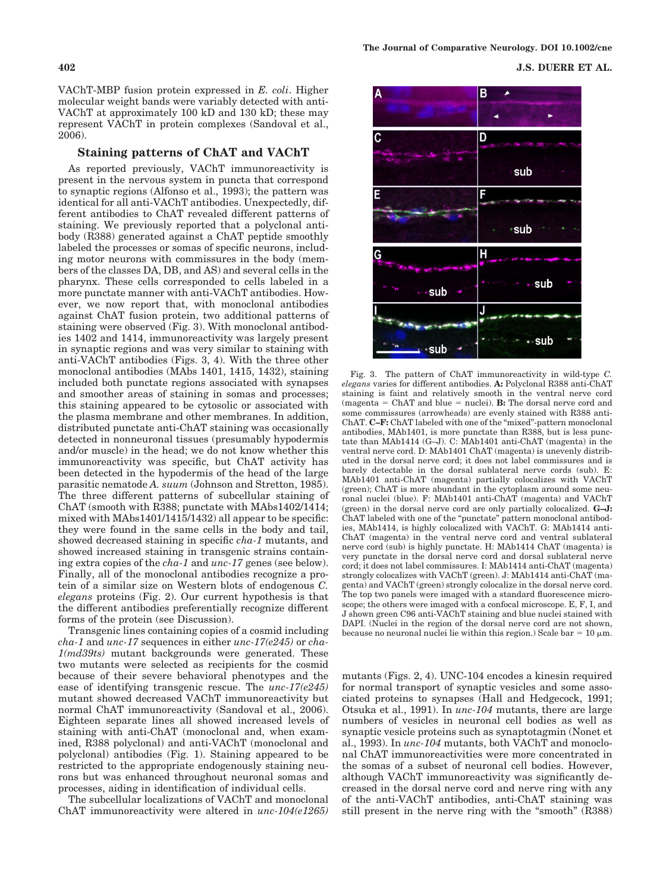VAChT-MBP fusion protein expressed in *E. coli*. Higher molecular weight bands were variably detected with anti-VAChT at approximately 100 kD and 130 kD; these may represent VAChT in protein complexes (Sandoval et al., 2006).

## **Staining patterns of ChAT and VAChT**

As reported previously, VAChT immunoreactivity is present in the nervous system in puncta that correspond to synaptic regions (Alfonso et al., 1993); the pattern was identical for all anti-VAChT antibodies. Unexpectedly, different antibodies to ChAT revealed different patterns of staining. We previously reported that a polyclonal antibody (R388) generated against a ChAT peptide smoothly labeled the processes or somas of specific neurons, including motor neurons with commissures in the body (members of the classes DA, DB, and AS) and several cells in the pharynx. These cells corresponded to cells labeled in a more punctate manner with anti-VAChT antibodies. However, we now report that, with monoclonal antibodies against ChAT fusion protein, two additional patterns of staining were observed (Fig. 3). With monoclonal antibodies 1402 and 1414, immunoreactivity was largely present in synaptic regions and was very similar to staining with anti-VAChT antibodies (Figs. 3, 4). With the three other monoclonal antibodies (MAbs 1401, 1415, 1432), staining included both punctate regions associated with synapses and smoother areas of staining in somas and processes; this staining appeared to be cytosolic or associated with the plasma membrane and other membranes. In addition, distributed punctate anti-ChAT staining was occasionally detected in nonneuronal tissues (presumably hypodermis and/or muscle) in the head; we do not know whether this immunoreactivity was specific, but ChAT activity has been detected in the hypodermis of the head of the large parasitic nematode *A. suum* (Johnson and Stretton, 1985). The three different patterns of subcellular staining of ChAT (smooth with R388; punctate with MAbs1402/1414; mixed with MAbs1401/1415/1432) all appear to be specific: they were found in the same cells in the body and tail, showed decreased staining in specific *cha-1* mutants, and showed increased staining in transgenic strains containing extra copies of the *cha-1* and *unc-17* genes (see below). Finally, all of the monoclonal antibodies recognize a protein of a similar size on Western blots of endogenous *C. elegans* proteins (Fig. 2). Our current hypothesis is that the different antibodies preferentially recognize different forms of the protein (see Discussion).

Transgenic lines containing copies of a cosmid including *cha-1* and *unc-17* sequences in either *unc-17(e245)* or *cha-1(md39ts)* mutant backgrounds were generated. These two mutants were selected as recipients for the cosmid because of their severe behavioral phenotypes and the ease of identifying transgenic rescue. The *unc-17(e245)* mutant showed decreased VAChT immunoreactivity but normal ChAT immunoreactivity (Sandoval et al., 2006). Eighteen separate lines all showed increased levels of staining with anti-ChAT (monoclonal and, when examined, R388 polyclonal) and anti-VAChT (monoclonal and polyclonal) antibodies (Fig. 1). Staining appeared to be restricted to the appropriate endogenously staining neurons but was enhanced throughout neuronal somas and processes, aiding in identification of individual cells.

The subcellular localizations of VAChT and monoclonal ChAT immunoreactivity were altered in *unc-104(e1265)*

**402 J.S. DUERR ET AL.**



Fig. 3. The pattern of ChAT immunoreactivity in wild-type *C. elegans* varies for different antibodies. **A:** Polyclonal R388 anti-ChAT staining is faint and relatively smooth in the ventral nerve cord  $(magenta = ChAT and blue = nuclei).$  **B:** The dorsal nerve cord and some commissures (arrowheads) are evenly stained with R388 anti-ChAT. **C–F:** ChAT labeled with one of the "mixed"-pattern monoclonal antibodies, MAb1401, is more punctate than R388, but is less punctate than MAb1414 (G–J). C: MAb1401 anti-ChAT (magenta) in the ventral nerve cord. D: MAb1401 ChAT (magenta) is unevenly distributed in the dorsal nerve cord; it does not label commissures and is barely detectable in the dorsal sublateral nerve cords (sub). E: MAb1401 anti-ChAT (magenta) partially colocalizes with VAChT (green); ChAT is more abundant in the cytoplasm around some neuronal nuclei (blue). F: MAb1401 anti-ChAT (magenta) and VAChT (green) in the dorsal nerve cord are only partially colocalized. **G–J:** ChAT labeled with one of the "punctate" pattern monoclonal antibodies, MAb1414, is highly colocalized with VAChT. G: MAb1414 anti-ChAT (magenta) in the ventral nerve cord and ventral sublateral nerve cord (sub) is highly punctate. H: MAb1414 ChAT (magenta) is very punctate in the dorsal nerve cord and dorsal sublateral nerve cord; it does not label commissures. I: MAb1414 anti-ChAT (magenta) strongly colocalizes with VAChT (green). J: MAb1414 anti-ChAT (magenta) and VAChT (green) strongly colocalize in the dorsal nerve cord. The top two panels were imaged with a standard fluorescence microscope; the others were imaged with a confocal microscope. E, F, I, and J shown green C96 anti-VAChT staining and blue nuclei stained with DAPI. (Nuclei in the region of the dorsal nerve cord are not shown, because no neuronal nuclei lie within this region.) Scale bar =  $10 \mu m$ .

mutants (Figs. 2, 4). UNC-104 encodes a kinesin required for normal transport of synaptic vesicles and some associated proteins to synapses (Hall and Hedgecock, 1991; Otsuka et al., 1991). In *unc-104* mutants, there are large numbers of vesicles in neuronal cell bodies as well as synaptic vesicle proteins such as synaptotagmin (Nonet et al., 1993). In *unc-104* mutants, both VAChT and monoclonal ChAT immunoreactivities were more concentrated in the somas of a subset of neuronal cell bodies. However, although VAChT immunoreactivity was significantly decreased in the dorsal nerve cord and nerve ring with any of the anti-VAChT antibodies, anti-ChAT staining was still present in the nerve ring with the "smooth" (R388)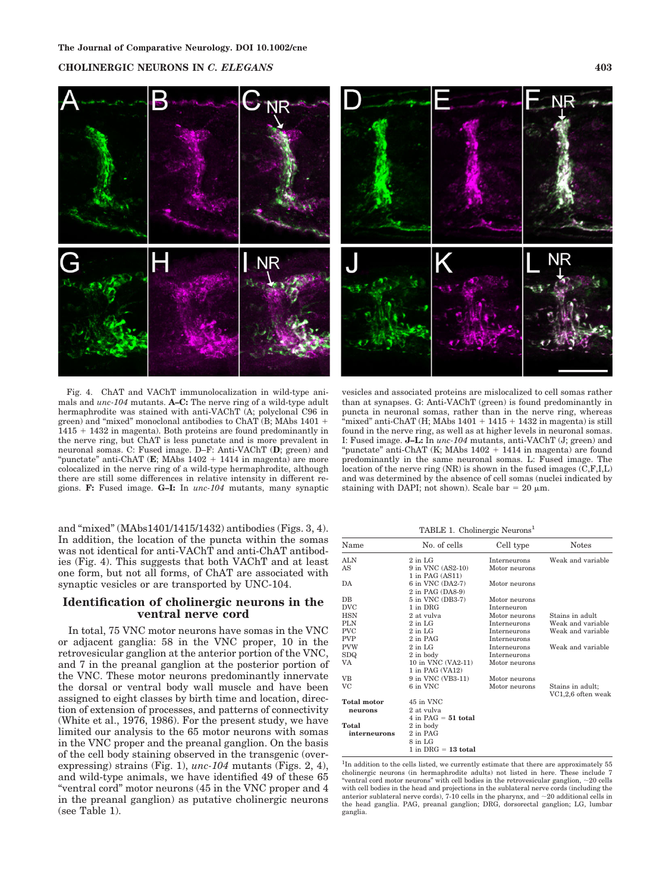

Fig. 4. ChAT and VAChT immunolocalization in wild-type animals and *unc-104* mutants. **A–C:** The nerve ring of a wild-type adult hermaphrodite was stained with anti-VAChT (A; polyclonal C96 in green) and "mixed" monoclonal antibodies to ChAT (B; MAbs 1401 - 1415 - 1432 in magenta). Both proteins are found predominantly in the nerve ring, but ChAT is less punctate and is more prevalent in neuronal somas. C: Fused image. D–F: Anti-VAChT (**D**; green) and "punctate" anti-ChAT (**E**; MAbs 1402 + 1414 in magenta) are more colocalized in the nerve ring of a wild-type hermaphrodite, although there are still some differences in relative intensity in different regions. **F:** Fused image. **G–I:** In *unc-104* mutants, many synaptic

and "mixed" (MAbs1401/1415/1432) antibodies (Figs. 3, 4). In addition, the location of the puncta within the somas was not identical for anti-VAChT and anti-ChAT antibodies (Fig. 4). This suggests that both VAChT and at least one form, but not all forms, of ChAT are associated with synaptic vesicles or are transported by UNC-104.

## **Identification of cholinergic neurons in the ventral nerve cord**

In total, 75 VNC motor neurons have somas in the VNC or adjacent ganglia: 58 in the VNC proper, 10 in the retrovesicular ganglion at the anterior portion of the VNC, and 7 in the preanal ganglion at the posterior portion of the VNC. These motor neurons predominantly innervate the dorsal or ventral body wall muscle and have been assigned to eight classes by birth time and location, direction of extension of processes, and patterns of connectivity (White et al., 1976, 1986). For the present study, we have limited our analysis to the 65 motor neurons with somas in the VNC proper and the preanal ganglion. On the basis of the cell body staining observed in the transgenic (overexpressing) strains (Fig. 1), *unc-104* mutants (Figs. 2, 4), and wild-type animals, we have identified 49 of these 65 "ventral cord" motor neurons (45 in the VNC proper and 4 in the preanal ganglion) as putative cholinergic neurons (see Table 1).

vesicles and associated proteins are mislocalized to cell somas rather than at synapses. G: Anti-VAChT (green) is found predominantly in puncta in neuronal somas, rather than in the nerve ring, whereas "mixed" anti-ChAT (H; MAbs  $1401 + 1415 + 1432$  in magenta) is still found in the nerve ring, as well as at higher levels in neuronal somas. I: Fused image. **J–L:** In *unc-104* mutants, anti-VAChT (J; green) and "punctate" anti-ChAT (K; MAbs 1402 + 1414 in magenta) are found predominantly in the same neuronal somas. L: Fused image. The location of the nerve ring  $(NR)$  is shown in the fused images  $(C, F, I, L)$ and was determined by the absence of cell somas (nuclei indicated by staining with DAPI; not shown). Scale bar = 20  $\mu$ m.

TABLE 1. Cholinergic Neurons<sup>1</sup>

| Name               | No. of cells          | Cell type     | <b>Notes</b>       |
|--------------------|-----------------------|---------------|--------------------|
| ALN                | $2$ in LG             | Interneurons  | Weak and variable  |
| AS                 | 9 in VNC (AS2-10)     | Motor neurons |                    |
|                    | 1 in PAG (AS11)       |               |                    |
| DA                 | 6 in VNC (DA2-7)      | Motor neurons |                    |
|                    | 2 in PAG (DA8-9)      |               |                    |
| $_{\rm DB}$        | 5 in VNC (DB3-7)      | Motor neurons |                    |
| <b>DVC</b>         | 1 in DRG              | Interneuron   |                    |
| <b>HSN</b>         | 2 at vulva            | Motor neurons | Stains in adult.   |
| <b>PLN</b>         | $2$ in LG             | Interneurons  | Weak and variable  |
| <b>PVC</b>         | $2$ in LG             | Interneurons  | Weak and variable  |
| <b>PVP</b>         | 2 in PAG              | Interneurons  |                    |
| <b>PVW</b>         | $2$ in LG             | Interneurons  | Weak and variable  |
| SDQ.               | 2 in body             | Interneurons  |                    |
| VA                 | 10 in VNC (VA2-11)    | Motor neurons |                    |
|                    | 1 in PAG (VA12)       |               |                    |
| <b>VB</b>          | 9 in VNC (VB3-11)     | Motor neurons |                    |
| VC                 | 6 in VNC              | Motor neurons | Stains in adult;   |
|                    |                       |               | VC1,2,6 often weak |
| <b>Total motor</b> | 45 in VNC             |               |                    |
| neurons            | 2 at vulva            |               |                    |
|                    | 4 in $PAG = 51$ total |               |                    |
| Total              | 2 in body             |               |                    |
| interneurons       | 2 in PAG              |               |                    |
|                    | 8 in LG               |               |                    |
|                    | $1$ in DRG = 13 total |               |                    |

<sup>1</sup>In addition to the cells listed, we currently estimate that there are approximately 55 cholinergic neurons (in hermaphrodite adults) not listed in here. These include 7 "ventral cord motor neurons" with cell bodies in the retrovesicular ganglion,  $\sim$  20 cells with cell bodies in the head and projections in the sublateral nerve cords (including the anterior sublateral nerve cords), 7-10 cells in the pharynx, and  $\sim$  20 additional cells in the head ganglia. PAG, preanal ganglion; DRG, dorsorectal ganglion; LG, lumbar ganglia.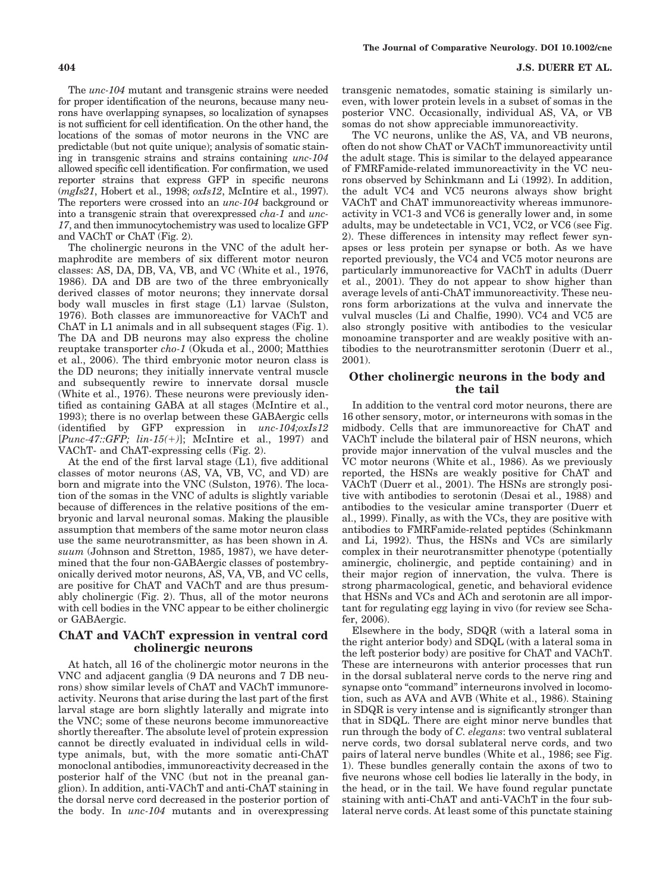The *unc-104* mutant and transgenic strains were needed for proper identification of the neurons, because many neurons have overlapping synapses, so localization of synapses is not sufficient for cell identification. On the other hand, the locations of the somas of motor neurons in the VNC are predictable (but not quite unique); analysis of somatic staining in transgenic strains and strains containing *unc-104* allowed specific cell identification. For confirmation, we used reporter strains that express GFP in specific neurons (*mgIs21*, Hobert et al., 1998; *oxIs12*, McIntire et al., 1997). The reporters were crossed into an *unc-104* background or into a transgenic strain that overexpressed *cha-1* and *unc-17*, and then immunocytochemistry was used to localize GFP and VAChT or ChAT (Fig. 2).

The cholinergic neurons in the VNC of the adult hermaphrodite are members of six different motor neuron classes: AS, DA, DB, VA, VB, and VC (White et al., 1976, 1986). DA and DB are two of the three embryonically derived classes of motor neurons; they innervate dorsal body wall muscles in first stage (L1) larvae (Sulston, 1976). Both classes are immunoreactive for VAChT and ChAT in L1 animals and in all subsequent stages (Fig. 1). The DA and DB neurons may also express the choline reuptake transporter *cho-1* (Okuda et al., 2000; Matthies et al., 2006). The third embryonic motor neuron class is the DD neurons; they initially innervate ventral muscle and subsequently rewire to innervate dorsal muscle (White et al., 1976). These neurons were previously identified as containing GABA at all stages (McIntire et al., 1993); there is no overlap between these GABAergic cells (identified by GFP expression in *unc-104;oxIs12* [*Punc-47::GFP; lin-15(*-*)*]; McIntire et al., 1997) and VAChT- and ChAT-expressing cells (Fig. 2).

At the end of the first larval stage (L1), five additional classes of motor neurons (AS, VA, VB, VC, and VD) are born and migrate into the VNC (Sulston, 1976). The location of the somas in the VNC of adults is slightly variable because of differences in the relative positions of the embryonic and larval neuronal somas. Making the plausible assumption that members of the same motor neuron class use the same neurotransmitter, as has been shown in *A. suum* (Johnson and Stretton, 1985, 1987), we have determined that the four non-GABAergic classes of postembryonically derived motor neurons, AS, VA, VB, and VC cells, are positive for ChAT and VAChT and are thus presumably cholinergic (Fig. 2). Thus, all of the motor neurons with cell bodies in the VNC appear to be either cholinergic or GABAergic.

## **ChAT and VAChT expression in ventral cord cholinergic neurons**

At hatch, all 16 of the cholinergic motor neurons in the VNC and adjacent ganglia (9 DA neurons and 7 DB neurons) show similar levels of ChAT and VAChT immunoreactivity. Neurons that arise during the last part of the first larval stage are born slightly laterally and migrate into the VNC; some of these neurons become immunoreactive shortly thereafter. The absolute level of protein expression cannot be directly evaluated in individual cells in wildtype animals, but, with the more somatic anti-ChAT monoclonal antibodies, immunoreactivity decreased in the posterior half of the VNC (but not in the preanal ganglion). In addition, anti-VAChT and anti-ChAT staining in the dorsal nerve cord decreased in the posterior portion of the body. In *unc-104* mutants and in overexpressing transgenic nematodes, somatic staining is similarly uneven, with lower protein levels in a subset of somas in the posterior VNC. Occasionally, individual AS, VA, or VB somas do not show appreciable immunoreactivity.

The VC neurons, unlike the AS, VA, and VB neurons, often do not show ChAT or VAChT immunoreactivity until the adult stage. This is similar to the delayed appearance of FMRFamide-related immunoreactivity in the VC neurons observed by Schinkmann and Li (1992). In addition, the adult VC4 and VC5 neurons always show bright VAChT and ChAT immunoreactivity whereas immunoreactivity in VC1-3 and VC6 is generally lower and, in some adults, may be undetectable in VC1, VC2, or VC6 (see Fig. 2). These differences in intensity may reflect fewer synapses or less protein per synapse or both. As we have reported previously, the VC4 and VC5 motor neurons are particularly immunoreactive for VAChT in adults (Duerr et al., 2001). They do not appear to show higher than average levels of anti-ChAT immunoreactivity. These neurons form arborizations at the vulva and innervate the vulval muscles (Li and Chalfie, 1990). VC4 and VC5 are also strongly positive with antibodies to the vesicular monoamine transporter and are weakly positive with antibodies to the neurotransmitter serotonin (Duerr et al., 2001).

## **Other cholinergic neurons in the body and the tail**

In addition to the ventral cord motor neurons, there are 16 other sensory, motor, or interneurons with somas in the midbody. Cells that are immunoreactive for ChAT and VAChT include the bilateral pair of HSN neurons, which provide major innervation of the vulval muscles and the VC motor neurons (White et al., 1986). As we previously reported, the HSNs are weakly positive for ChAT and VAChT (Duerr et al., 2001). The HSNs are strongly positive with antibodies to serotonin (Desai et al., 1988) and antibodies to the vesicular amine transporter (Duerr et al., 1999). Finally, as with the VCs, they are positive with antibodies to FMRFamide-related peptides (Schinkmann and Li, 1992). Thus, the HSNs and VCs are similarly complex in their neurotransmitter phenotype (potentially aminergic, cholinergic, and peptide containing) and in their major region of innervation, the vulva. There is strong pharmacological, genetic, and behavioral evidence that HSNs and VCs and ACh and serotonin are all important for regulating egg laying in vivo (for review see Schafer, 2006).

Elsewhere in the body, SDQR (with a lateral soma in the right anterior body) and SDQL (with a lateral soma in the left posterior body) are positive for ChAT and VAChT. These are interneurons with anterior processes that run in the dorsal sublateral nerve cords to the nerve ring and synapse onto "command" interneurons involved in locomotion, such as AVA and AVB (White et al., 1986). Staining in SDQR is very intense and is significantly stronger than that in SDQL. There are eight minor nerve bundles that run through the body of *C. elegans*: two ventral sublateral nerve cords, two dorsal sublateral nerve cords, and two pairs of lateral nerve bundles (White et al., 1986; see Fig. 1). These bundles generally contain the axons of two to five neurons whose cell bodies lie laterally in the body, in the head, or in the tail. We have found regular punctate staining with anti-ChAT and anti-VAChT in the four sublateral nerve cords. At least some of this punctate staining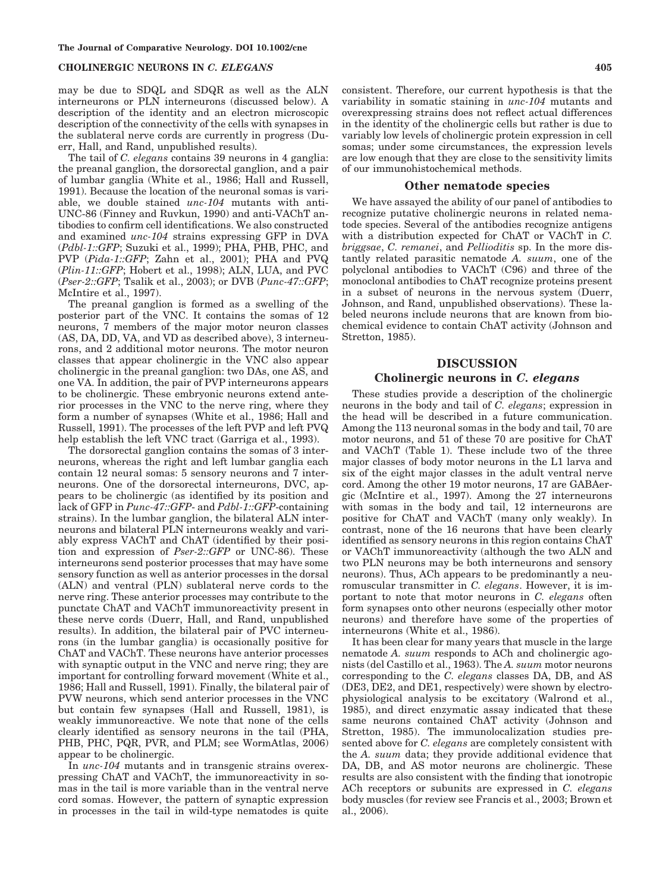may be due to SDQL and SDQR as well as the ALN interneurons or PLN interneurons (discussed below). A description of the identity and an electron microscopic description of the connectivity of the cells with synapses in the sublateral nerve cords are currently in progress (Duerr, Hall, and Rand, unpublished results).

The tail of *C. elegans* contains 39 neurons in 4 ganglia: the preanal ganglion, the dorsorectal ganglion, and a pair of lumbar ganglia (White et al., 1986; Hall and Russell, 1991). Because the location of the neuronal somas is variable, we double stained *unc-104* mutants with anti-UNC-86 (Finney and Ruvkun, 1990) and anti-VAChT antibodies to confirm cell identifications. We also constructed and examined *unc-104* strains expressing GFP in DVA (*Pdbl-1::GFP*; Suzuki et al., 1999); PHA, PHB, PHC, and PVP (*Pida-1::GFP*; Zahn et al., 2001); PHA and PVQ (*Plin-11::GFP*; Hobert et al., 1998); ALN, LUA, and PVC (*Pser-2::GFP*; Tsalik et al., 2003); or DVB (*Punc-47::GFP*; McIntire et al., 1997).

The preanal ganglion is formed as a swelling of the posterior part of the VNC. It contains the somas of 12 neurons, 7 members of the major motor neuron classes (AS, DA, DD, VA, and VD as described above), 3 interneurons, and 2 additional motor neurons. The motor neuron classes that appear cholinergic in the VNC also appear cholinergic in the preanal ganglion: two DAs, one AS, and one VA. In addition, the pair of PVP interneurons appears to be cholinergic. These embryonic neurons extend anterior processes in the VNC to the nerve ring, where they form a number of synapses (White et al., 1986; Hall and Russell, 1991). The processes of the left PVP and left PVQ help establish the left VNC tract (Garriga et al., 1993).

The dorsorectal ganglion contains the somas of 3 interneurons, whereas the right and left lumbar ganglia each contain 12 neural somas: 5 sensory neurons and 7 interneurons. One of the dorsorectal interneurons, DVC, appears to be cholinergic (as identified by its position and lack of GFP in *Punc-47::GFP*- and *Pdbl-1::GFP*-containing strains). In the lumbar ganglion, the bilateral ALN interneurons and bilateral PLN interneurons weakly and variably express VAChT and ChAT (identified by their position and expression of *Pser-2::GFP* or UNC-86). These interneurons send posterior processes that may have some sensory function as well as anterior processes in the dorsal (ALN) and ventral (PLN) sublateral nerve cords to the nerve ring. These anterior processes may contribute to the punctate ChAT and VAChT immunoreactivity present in these nerve cords (Duerr, Hall, and Rand, unpublished results). In addition, the bilateral pair of PVC interneurons (in the lumbar ganglia) is occasionally positive for ChAT and VAChT. These neurons have anterior processes with synaptic output in the VNC and nerve ring; they are important for controlling forward movement (White et al., 1986; Hall and Russell, 1991). Finally, the bilateral pair of PVW neurons, which send anterior processes in the VNC but contain few synapses (Hall and Russell, 1981), is weakly immunoreactive. We note that none of the cells clearly identified as sensory neurons in the tail (PHA, PHB, PHC, PQR, PVR, and PLM; see WormAtlas, 2006) appear to be cholinergic.

In *unc-104* mutants and in transgenic strains overexpressing ChAT and VAChT, the immunoreactivity in somas in the tail is more variable than in the ventral nerve cord somas. However, the pattern of synaptic expression in processes in the tail in wild-type nematodes is quite consistent. Therefore, our current hypothesis is that the variability in somatic staining in *unc-104* mutants and overexpressing strains does not reflect actual differences in the identity of the cholinergic cells but rather is due to variably low levels of cholinergic protein expression in cell somas; under some circumstances, the expression levels are low enough that they are close to the sensitivity limits of our immunohistochemical methods.

#### **Other nematode species**

We have assayed the ability of our panel of antibodies to recognize putative cholinergic neurons in related nematode species. Several of the antibodies recognize antigens with a distribution expected for ChAT or VAChT in *C. briggsae*, *C. remanei*, and *Pellioditis* sp. In the more distantly related parasitic nematode *A. suum*, one of the polyclonal antibodies to VAChT (C96) and three of the monoclonal antibodies to ChAT recognize proteins present in a subset of neurons in the nervous system (Duerr, Johnson, and Rand, unpublished observations). These labeled neurons include neurons that are known from biochemical evidence to contain ChAT activity (Johnson and Stretton, 1985).

#### **DISCUSSION**

## **Cholinergic neurons in** *C. elegans*

These studies provide a description of the cholinergic neurons in the body and tail of *C. elegans*; expression in the head will be described in a future communication. Among the 113 neuronal somas in the body and tail, 70 are motor neurons, and 51 of these 70 are positive for ChAT and VAChT (Table 1). These include two of the three major classes of body motor neurons in the L1 larva and six of the eight major classes in the adult ventral nerve cord. Among the other 19 motor neurons, 17 are GABAergic (McIntire et al., 1997). Among the 27 interneurons with somas in the body and tail, 12 interneurons are positive for ChAT and VAChT (many only weakly). In contrast, none of the 16 neurons that have been clearly identified as sensory neurons in this region contains ChAT or VAChT immunoreactivity (although the two ALN and two PLN neurons may be both interneurons and sensory neurons). Thus, ACh appears to be predominantly a neuromuscular transmitter in *C. elegans*. However, it is important to note that motor neurons in *C. elegans* often form synapses onto other neurons (especially other motor neurons) and therefore have some of the properties of interneurons (White et al., 1986).

It has been clear for many years that muscle in the large nematode *A. suum* responds to ACh and cholinergic agonists (del Castillo et al., 1963). The *A. suum* motor neurons corresponding to the *C. elegans* classes DA, DB, and AS (DE3, DE2, and DE1, respectively) were shown by electrophysiological analysis to be excitatory (Walrond et al., 1985), and direct enzymatic assay indicated that these same neurons contained ChAT activity (Johnson and Stretton, 1985). The immunolocalization studies presented above for *C. elegans* are completely consistent with the *A. suum* data; they provide additional evidence that DA, DB, and AS motor neurons are cholinergic. These results are also consistent with the finding that ionotropic ACh receptors or subunits are expressed in *C. elegans* body muscles (for review see Francis et al., 2003; Brown et al., 2006).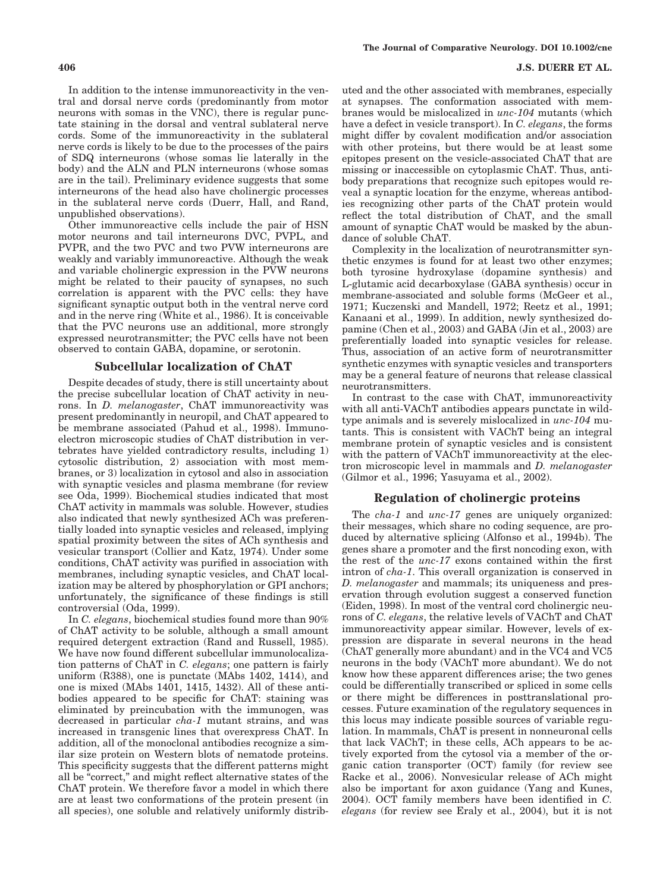#### **406 J.S. DUERR ET AL.**

In addition to the intense immunoreactivity in the ventral and dorsal nerve cords (predominantly from motor neurons with somas in the VNC), there is regular punctate staining in the dorsal and ventral sublateral nerve cords. Some of the immunoreactivity in the sublateral nerve cords is likely to be due to the processes of the pairs of SDQ interneurons (whose somas lie laterally in the body) and the ALN and PLN interneurons (whose somas are in the tail). Preliminary evidence suggests that some interneurons of the head also have cholinergic processes in the sublateral nerve cords (Duerr, Hall, and Rand, unpublished observations).

Other immunoreactive cells include the pair of HSN motor neurons and tail interneurons DVC, PVPL, and PVPR, and the two PVC and two PVW interneurons are weakly and variably immunoreactive. Although the weak and variable cholinergic expression in the PVW neurons might be related to their paucity of synapses, no such correlation is apparent with the PVC cells: they have significant synaptic output both in the ventral nerve cord and in the nerve ring (White et al., 1986). It is conceivable that the PVC neurons use an additional, more strongly expressed neurotransmitter; the PVC cells have not been observed to contain GABA, dopamine, or serotonin.

#### **Subcellular localization of ChAT**

Despite decades of study, there is still uncertainty about the precise subcellular location of ChAT activity in neurons. In *D. melanogaster*, ChAT immunoreactivity was present predominantly in neuropil, and ChAT appeared to be membrane associated (Pahud et al., 1998). Immunoelectron microscopic studies of ChAT distribution in vertebrates have yielded contradictory results, including 1) cytosolic distribution, 2) association with most membranes, or 3) localization in cytosol and also in association with synaptic vesicles and plasma membrane (for review see Oda, 1999). Biochemical studies indicated that most ChAT activity in mammals was soluble. However, studies also indicated that newly synthesized ACh was preferentially loaded into synaptic vesicles and released, implying spatial proximity between the sites of ACh synthesis and vesicular transport (Collier and Katz, 1974). Under some conditions, ChAT activity was purified in association with membranes, including synaptic vesicles, and ChAT localization may be altered by phosphorylation or GPI anchors; unfortunately, the significance of these findings is still controversial (Oda, 1999).

In *C. elegans*, biochemical studies found more than 90% of ChAT activity to be soluble, although a small amount required detergent extraction (Rand and Russell, 1985). We have now found different subcellular immunolocalization patterns of ChAT in *C. elegans*; one pattern is fairly uniform (R388), one is punctate (MAbs 1402, 1414), and one is mixed (MAbs 1401, 1415, 1432). All of these antibodies appeared to be specific for ChAT: staining was eliminated by preincubation with the immunogen, was decreased in particular *cha-1* mutant strains, and was increased in transgenic lines that overexpress ChAT. In addition, all of the monoclonal antibodies recognize a similar size protein on Western blots of nematode proteins. This specificity suggests that the different patterns might all be "correct," and might reflect alternative states of the ChAT protein. We therefore favor a model in which there are at least two conformations of the protein present (in all species), one soluble and relatively uniformly distributed and the other associated with membranes, especially at synapses. The conformation associated with membranes would be mislocalized in *unc-104* mutants (which have a defect in vesicle transport). In *C. elegans*, the forms might differ by covalent modification and/or association with other proteins, but there would be at least some epitopes present on the vesicle-associated ChAT that are missing or inaccessible on cytoplasmic ChAT. Thus, antibody preparations that recognize such epitopes would reveal a synaptic location for the enzyme, whereas antibodies recognizing other parts of the ChAT protein would reflect the total distribution of ChAT, and the small amount of synaptic ChAT would be masked by the abundance of soluble ChAT.

Complexity in the localization of neurotransmitter synthetic enzymes is found for at least two other enzymes; both tyrosine hydroxylase (dopamine synthesis) and L-glutamic acid decarboxylase (GABA synthesis) occur in membrane-associated and soluble forms (McGeer et al., 1971; Kuczenski and Mandell, 1972; Reetz et al., 1991; Kanaani et al., 1999). In addition, newly synthesized dopamine (Chen et al., 2003) and GABA (Jin et al., 2003) are preferentially loaded into synaptic vesicles for release. Thus, association of an active form of neurotransmitter synthetic enzymes with synaptic vesicles and transporters may be a general feature of neurons that release classical neurotransmitters.

In contrast to the case with ChAT, immunoreactivity with all anti-VAChT antibodies appears punctate in wildtype animals and is severely mislocalized in *unc-104* mutants. This is consistent with VAChT being an integral membrane protein of synaptic vesicles and is consistent with the pattern of VAChT immunoreactivity at the electron microscopic level in mammals and *D. melanogaster* (Gilmor et al., 1996; Yasuyama et al., 2002).

#### **Regulation of cholinergic proteins**

The *cha-1* and *unc-17* genes are uniquely organized: their messages, which share no coding sequence, are produced by alternative splicing (Alfonso et al., 1994b). The genes share a promoter and the first noncoding exon, with the rest of the *unc-17* exons contained within the first intron of *cha-1*. This overall organization is conserved in *D. melanogaster* and mammals; its uniqueness and preservation through evolution suggest a conserved function (Eiden, 1998). In most of the ventral cord cholinergic neurons of *C. elegans*, the relative levels of VAChT and ChAT immunoreactivity appear similar. However, levels of expression are disparate in several neurons in the head (ChAT generally more abundant) and in the VC4 and VC5 neurons in the body (VAChT more abundant). We do not know how these apparent differences arise; the two genes could be differentially transcribed or spliced in some cells or there might be differences in posttranslational processes. Future examination of the regulatory sequences in this locus may indicate possible sources of variable regulation. In mammals, ChAT is present in nonneuronal cells that lack VAChT; in these cells, ACh appears to be actively exported from the cytosol via a member of the organic cation transporter (OCT) family (for review see Racke et al., 2006). Nonvesicular release of ACh might also be important for axon guidance (Yang and Kunes, 2004). OCT family members have been identified in *C. elegans* (for review see Eraly et al., 2004), but it is not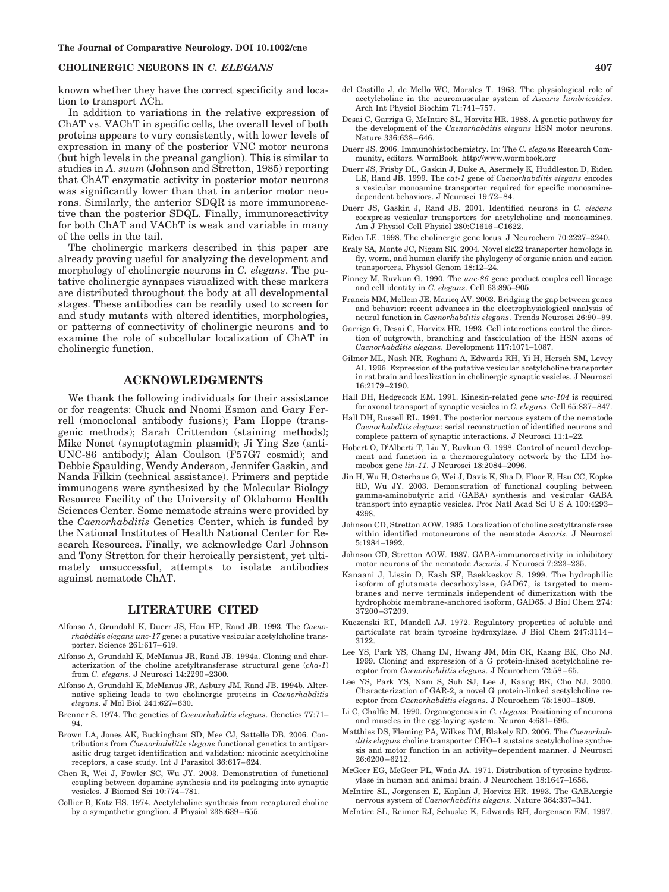known whether they have the correct specificity and location to transport ACh.

In addition to variations in the relative expression of ChAT vs. VAChT in specific cells, the overall level of both proteins appears to vary consistently, with lower levels of expression in many of the posterior VNC motor neurons (but high levels in the preanal ganglion). This is similar to studies in *A. suum* (Johnson and Stretton, 1985) reporting that ChAT enzymatic activity in posterior motor neurons was significantly lower than that in anterior motor neurons. Similarly, the anterior SDQR is more immunoreactive than the posterior SDQL. Finally, immunoreactivity for both ChAT and VAChT is weak and variable in many of the cells in the tail.

The cholinergic markers described in this paper are already proving useful for analyzing the development and morphology of cholinergic neurons in *C. elegans*. The putative cholinergic synapses visualized with these markers are distributed throughout the body at all developmental stages. These antibodies can be readily used to screen for and study mutants with altered identities, morphologies, or patterns of connectivity of cholinergic neurons and to examine the role of subcellular localization of ChAT in cholinergic function.

### **ACKNOWLEDGMENTS**

We thank the following individuals for their assistance or for reagents: Chuck and Naomi Esmon and Gary Ferrell (monoclonal antibody fusions); Pam Hoppe (transgenic methods); Sarah Crittendon (staining methods); Mike Nonet (synaptotagmin plasmid); Ji Ying Sze (anti-UNC-86 antibody); Alan Coulson (F57G7 cosmid); and Debbie Spaulding, Wendy Anderson, Jennifer Gaskin, and Nanda Filkin (technical assistance). Primers and peptide immunogens were synthesized by the Molecular Biology Resource Facility of the University of Oklahoma Health Sciences Center. Some nematode strains were provided by the *Caenorhabditis* Genetics Center, which is funded by the National Institutes of Health National Center for Research Resources. Finally, we acknowledge Carl Johnson and Tony Stretton for their heroically persistent, yet ultimately unsuccessful, attempts to isolate antibodies against nematode ChAT.

#### **LITERATURE CITED**

- Alfonso A, Grundahl K, Duerr JS, Han HP, Rand JB. 1993. The *Caenorhabditis elegans unc-17* gene: a putative vesicular acetylcholine transporter. Science 261:617– 619.
- Alfonso A, Grundahl K, McManus JR, Rand JB. 1994a. Cloning and characterization of the choline acetyltransferase structural gene (*cha-1*) from *C. elegans*. J Neurosci 14:2290 –2300.
- Alfonso A, Grundahl K, McManus JR, Asbury JM, Rand JB. 1994b. Alternative splicing leads to two cholinergic proteins in *Caenorhabditis elegans*. J Mol Biol 241:627– 630.
- Brenner S. 1974. The genetics of *Caenorhabditis elegans*. Genetics 77:71– 94.
- Brown LA, Jones AK, Buckingham SD, Mee CJ, Sattelle DB. 2006. Contributions from *Caenorhabditis elegans* functional genetics to antiparasitic drug target identification and validation: nicotinic acetylcholine receptors, a case study. Int J Parasitol 36:617– 624.
- Chen R, Wei J, Fowler SC, Wu JY. 2003. Demonstration of functional coupling between dopamine synthesis and its packaging into synaptic vesicles. J Biomed Sci 10:774 –781.
- Collier B, Katz HS. 1974. Acetylcholine synthesis from recaptured choline by a sympathetic ganglion. J Physiol 238:639 – 655.
- Desai C, Garriga G, McIntire SL, Horvitz HR. 1988. A genetic pathway for the development of the *Caenorhabditis elegans* HSN motor neurons. Nature 336:638 – 646.
- Duerr JS. 2006. Immunohistochemistry. In: The *C. elegans* Research Community, editors. WormBook. http://www.wormbook.org
- Duerr JS, Frisby DL, Gaskin J, Duke A, Asermely K, Huddleston D, Eiden LE, Rand JB. 1999. The *cat-1* gene of *Caenorhabditis elegans* encodes a vesicular monoamine transporter required for specific monoaminedependent behaviors. J Neurosci 19:72– 84.
- Duerr JS, Gaskin J, Rand JB. 2001. Identified neurons in *C. elegans* coexpress vesicular transporters for acetylcholine and monoamines. Am J Physiol Cell Physiol 280:C1616 –C1622.
- Eiden LE. 1998. The cholinergic gene locus. J Neurochem 70:2227–2240.
- Eraly SA, Monte JC, Nigam SK. 2004. Novel slc22 transporter homologs in fly, worm, and human clarify the phylogeny of organic anion and cation transporters. Physiol Genom 18:12–24.
- Finney M, Ruvkun G. 1990. The *unc-86* gene product couples cell lineage and cell identity in *C. elegans*. Cell 63:895–905.
- Francis MM, Mellem JE, Maricq AV. 2003. Bridging the gap between genes and behavior: recent advances in the electrophysiological analysis of neural function in *Caenorhabditis elegans*. Trends Neurosci 26:90 –99.
- Garriga G, Desai C, Horvitz HR. 1993. Cell interactions control the direction of outgrowth, branching and fasciculation of the HSN axons of *Caenorhabditis elegans*. Development 117:1071–1087.
- Gilmor ML, Nash NR, Roghani A, Edwards RH, Yi H, Hersch SM, Levey AI. 1996. Expression of the putative vesicular acetylcholine transporter in rat brain and localization in cholinergic synaptic vesicles. J Neurosci 16:2179 –2190.
- Hall DH, Hedgecock EM. 1991. Kinesin-related gene *unc-104* is required for axonal transport of synaptic vesicles in *C. elegans*. Cell 65:837– 847.
- Hall DH, Russell RL. 1991. The posterior nervous system of the nematode *Caenorhabditis elegans*: serial reconstruction of identified neurons and complete pattern of synaptic interactions. J Neurosci 11:1–22.
- Hobert O, D'Alberti T, Liu Y, Ruvkun G. 1998. Control of neural development and function in a thermoregulatory network by the LIM homeobox gene *lin-11*. J Neurosci 18:2084 –2096.
- Jin H, Wu H, Osterhaus G, Wei J, Davis K, Sha D, Floor E, Hsu CC, Kopke RD, Wu JY. 2003. Demonstration of functional coupling between gamma-aminobutyric acid (GABA) synthesis and vesicular GABA transport into synaptic vesicles. Proc Natl Acad Sci U S A 100:4293-4298.
- Johnson CD, Stretton AOW. 1985. Localization of choline acetyltransferase within identified motoneurons of the nematode *Ascaris*. J Neurosci 5:1984 –1992.
- Johnson CD, Stretton AOW. 1987. GABA-immunoreactivity in inhibitory motor neurons of the nematode *Ascaris*. J Neurosci 7:223–235.
- Kanaani J, Lissin D, Kash SF, Baekkeskov S. 1999. The hydrophilic isoform of glutamate decarboxylase, GAD67, is targeted to membranes and nerve terminals independent of dimerization with the hydrophobic membrane-anchored isoform, GAD65. J Biol Chem 274: 37200 –37209.
- Kuczenski RT, Mandell AJ. 1972. Regulatory properties of soluble and particulate rat brain tyrosine hydroxylase. J Biol Chem 247:3114 – 3122.
- Lee YS, Park YS, Chang DJ, Hwang JM, Min CK, Kaang BK, Cho NJ. 1999. Cloning and expression of a G protein-linked acetylcholine receptor from *Caenorhabditis elegans*. J Neurochem 72:58 – 65.
- Lee YS, Park YS, Nam S, Suh SJ, Lee J, Kaang BK, Cho NJ. 2000. Characterization of GAR-2, a novel G protein-linked acetylcholine receptor from *Caenorhabditis elegans*. J Neurochem 75:1800 –1809.
- Li C, Chalfie M. 1990. Organogenesis in *C. elegans*: Positioning of neurons and muscles in the egg-laying system. Neuron 4:681-695.
- Matthies DS, Fleming PA, Wilkes DM, Blakely RD. 2006. The *Caenorhabditis elegans* choline transporter CHO–1 sustains acetylcholine synthesis and motor function in an activity– dependent manner. J Neurosci 26:6200 – 6212.
- McGeer EG, McGeer PL, Wada JA. 1971. Distribution of tyrosine hydroxylase in human and animal brain. J Neurochem 18:1647–1658.
- McIntire SL, Jorgensen E, Kaplan J, Horvitz HR. 1993. The GABAergic nervous system of *Caenorhabditis elegans*. Nature 364:337–341.
- McIntire SL, Reimer RJ, Schuske K, Edwards RH, Jorgensen EM. 1997.